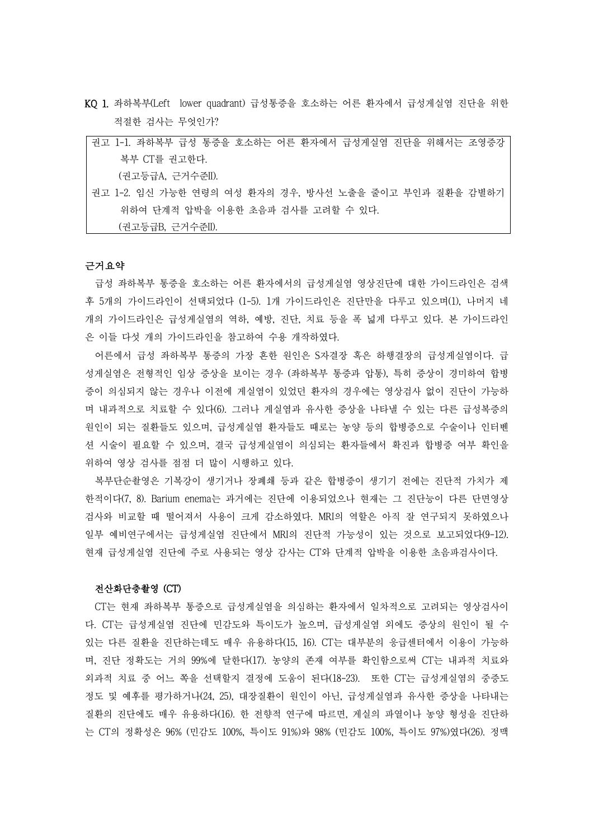KQ 1. 좌하복부(Left lower quadrant) 급성통증을 호소하는 어른 환자에서 급성게실염 진단을 위한 적절한 검사는 무엇인가?

| 권고 1-1. 좌하복부 급성 통증을 호소하는 어른 환자에서 급성게실염 진단을 위해서는 조영증강   |
|--------------------------------------------------------|
| 복부 CT를 권고한다.                                           |
| (권고등급A, 근거수준II).                                       |
| 권고 1-2. 임신 가능한 연령의 여성 환자의 경우, 방사선 노출을 줄이고 부인과 질환을 감별하기 |
| 위하여 다계적 압박을 이용한 초음파 검사를 고려할 수 있다.                      |
| (권고등급B, 근거수준II).                                       |

#### 근거요약

급성 좌하복부 통증을 호소하는 어른 환자에서의 급성게실염 영상진단에 대한 가이드라인은 검색 후 5개의 가이드라인이 선택되었다 (1-5). 1개 가이드라인은 진단만을 다루고 있으며(1), 나머지 네 개의 가이드라인은 급성게실염의 역하, 예방, 진단, 치료 등을 폭 넓게 다루고 있다. 본 가이드라인 은 이들 다섯 개의 가이드라인을 참고하여 수용 개작하였다.

어른에서 급성 좌하복부 통증의 가장 흔한 원인은 S자결장 혹은 하행결장의 급성게실염이다. 급 성게실염은 전형적인 임상 증상을 보이는 경우 (좌하복부 통증과 압통), 특히 증상이 경미하여 합병 증이 의심되지 않는 경우나 이전에 게실염이 있었던 환자의 경우에는 영상검사 없이 진단이 가능하 며 내과적으로 치료할 수 있다(6). 그러나 게실염과 유사한 증상을 나타낼 수 있는 다른 급성복증의 원인이 되는 질환들도 있으며, 급성게실염 환자들도 때로는 농양 등의 합병증으로 수술이나 인터벤 션 시술이 필요할 수 있으며, 결국 급성게실염이 의심되는 환자들에서 확진과 합병증 여부 확인을 위하여 영상 검사를 점점 더 많이 시행하고 있다.

복부단순촬영은 기복강이 생기거나 장폐쇄 등과 같은 합병증이 생기기 전에는 진단적 가치가 제 한적이다(7, 8). Barium enema는 과거에는 진단에 이용되었으나 현재는 그 진단능이 다른 단면영상 검사와 비교할 때 떨어져서 사용이 크게 감소하였다. MRI의 역할은 아직 잘 연구되지 못하였으나 일부 예비연구에서는 급성게실염 진단에서 MRI의 진단적 가능성이 있는 것으로 보고되었다(9-12). 현재 급성게실염 진단에 주로 사용되는 영상 감사는 CT와 단계적 압박을 이용한 초음파검사이다.

### 전산화단층촬영 (CT)

CT는 현재 좌하복부 통증으로 급성게실염을 의심하는 환자에서 일차적으로 고려되는 영상검사이 다. CT는 급성게실염 진단에 민감도와 특이도가 높으며, 급성게실염 외에도 증상의 원인이 될 수 있는 다른 질환을 진단하는데도 매우 유용하다(15, 16). CT는 대부분의 응급센터에서 이용이 가능하 며, 진단 정확도는 거의 99%에 달한다(17). 농양의 존재 여부를 확인함으로써 CT는 내과적 치료와 외과적 치료 중 어느 쪽을 선택할지 결정에 도움이 된다(18-23). 또한 CT는 급성게실염의 중증도 정도 및 예후를 평가하거나(24, 25), 대장질환이 원인이 아닌, 급성게실염과 유사한 증상을 나타내는 질환의 진단에도 매우 유용하다(16). 한 전향적 연구에 따르면, 게실의 파열이나 농양 형성을 진단하 는 CT의 정확성은 96% (민감도 100%, 특이도 91%)와 98% (민감도 100%, 특이도 97%)였다(26). 정맥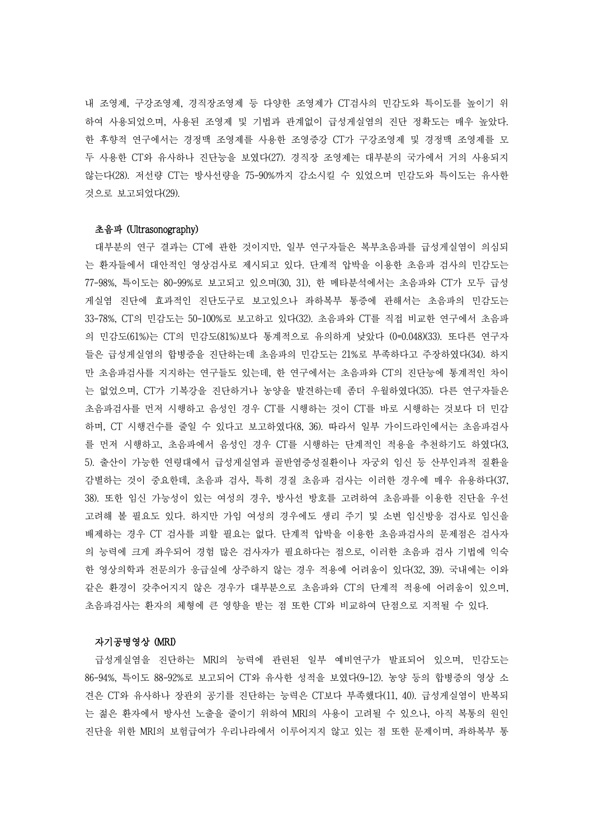내 조영제, 구강조영제, 경직장조영제 등 다양한 조영제가 CT검사의 민감도와 특이도를 높이기 위 하여 사용되었으며, 사용된 조영제 및 기법과 관계없이 급성게실염의 진단 정확도는 매우 높았다.<br>한 후향적 연구에서는 경정맥 조영제를 사용한 조영증강 CT가 구강조영제 및 경정맥 조영제를 모 두 사용한 CT와 유사하나 진단능을 보였다(27). 경직장 조영제는 대부분의 국가에서 거의 사용되지 않는다(28). 저선량 CT는 방사선량을 75-90%까지 감소시킬 수 있었으며 민감도와 특이도는 유사한 것으로 보고되었다(29).

#### 초음파 (Ultrasonography)

대부분의 연구 결과는 CT에 관한 것이지만, 일부 연구자들은 복부초음파를 급성게실염이 의심되 는 환자들에서 대안적인 영상검사로 제시되고 있다. 단계적 압박을 이용한 초음파 검사의 민감도는 77-98%, 특이도는 80-99%로 보고되고 있으며(30, 31), 한 메타분석에서는 초음파와 CT가 모두 급성 게실염 진단에 효과적인 진단도구로 보고있으나 좌하복부 통증에 관해서는 초음파의 민감도는 33-78%, CT의 민감도는 50-100%로 보고하고 있다(32). 초음파와 CT를 직접 비교한 연구에서 초음파 의 민감도(61%)는 CT의 민감도(81%)보다 통계적으로 유의하게 낮았다 (0=0.048)(33). 또다른 연구자 들은 급성게실염의 합병증을 진단하는데 초음파의 민감도는 21%로 부족하다고 주장하였다(34). 하지 만 초음파검사를 지지하는 연구들도 있는데, 한 연구에서는 초음파와 CT의 진단능에 통계적인 차이 는 없었으며, CT가 기복강을 진단하거나 농양을 발견하는데 좀더 우월하였다(35). 다른 연구자들은 초음파검사를 먼저 시행하고 음성인 경우 CT를 시행하는 것이 CT를 바로 시행하는 것보다 더 민감 하며, CT 시행건수를 줄일 수 있다고 보고하였다(8, 36). 따라서 일부 가이드라인에서는 초음파검사 를 먼저 시행하고, 초음파에서 음성인 경우 CT를 시행하는 단계적인 적용을 추천하기도 하였다(3, 5). 출산이 가능한 연령대에서 급성게실염과 골반염증성질환이나 자궁외 임신 등 산부인과적 질환을 감별하는 것이 중요한데, 초음파 검사, 특히 경질 초음파 검사는 이러한 경우에 매우 유용하다(37, 38). 또한 임신 가능성이 있는 여성의 경우, 방사선 방호를 고려하여 초음파를 이용한 진단을 우선 고려해 볼 필요도 있다. 하지만 가임 여성의 경우에도 생리 주기 및 소변 임신방응 검사로 임신을 배제하는 경우 CT 검사를 피할 필요는 없다. 단계적 압박을 이용한 초음파검사의 문제점은 검사자 의 능력에 크게 좌우되어 경험 많은 검사자가 필요하다는 점으로, 이러한 초음파 검사 기법에 익숙 한 영상의학과 전문의가 응급실에 상주하지 않는 경우 적용에 어려움이 있다(32, 39). 국내에는 이와 같은 환경이 갖추어지지 않은 경우가 대부분으로 초음파와 CT의 단계적 적용에 어려움이 있으며,<br>초음파검사는 환자의 체형에 큰 영향을 받는 점 또한 CT와 비교하여 단점으로 지적될 수 있다.<br>**자기공명영상 (MRI)** 

급성게실염을 진단하는 MRI의 능력에 관련된 일부 예비연구가 발표되어 있으며, 민감도는 86-94%, 특이도 88-92%로 보고되어 CT와 유사한 성적을 보였다(9-12). 농양 등의 합병증의 영상 소 견은 CT와 유사하나 장관외 공기를 진단하는 능력은 CT보다 부족했다(11, 40). 급성게실염이 반복되 는 젊은 환자에서 방사선 노출을 줄이기 위하여 MRI의 사용이 고려될 수 있으나, 아직 복통의 원인 진단을 위한 MRI의 보험급여가 우리나라에서 이루어지지 않고 있는 점 또한 문제이며, 좌하복부 통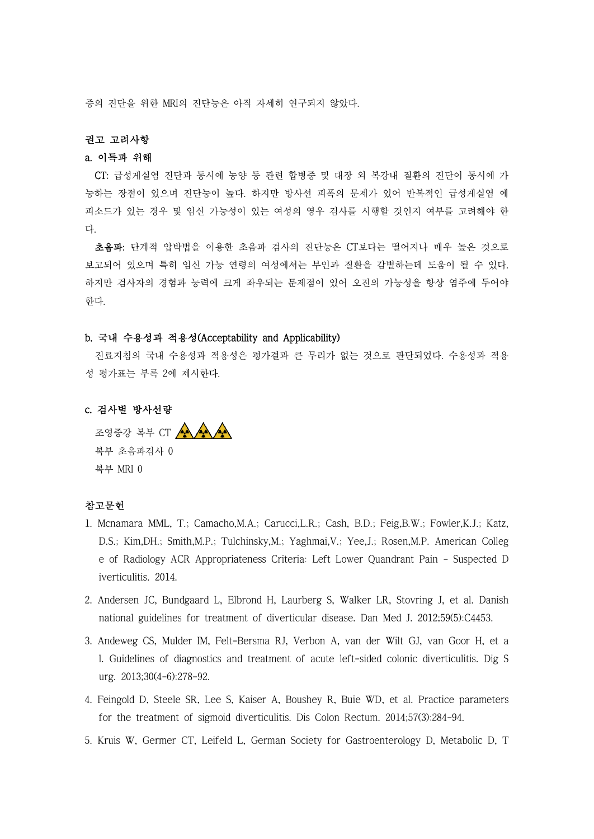증의 진단을 위한 MRI의 진단능은 아직 자세히 연구되지 않았다.

### 권고 고려사항

# a. 이득과 위해

CT: 급성게실염 진단과 동시에 농양 등 관련 합병증 및 대장 외 복강내 질환의 진단이 동시에 가 능하는 장점이 있으며 진단능이 높다. 하지만 방사선 피폭의 문제가 있어 반복적인 급성게실염 에 피소드가 있는 경우 및 임신 가능성이 있는 여성의 영우 검사를 시행할 것인지 여부를 고려해야 한 다.<br>-<br>- **초음파**: 단계적 압박법을 이용한 초음파 검사의 진단능은 CT보다는 떨어지나 매우 높은 것으로

보고되어 있으며 특히 임신 가능 연령의 여성에서는 부인과 질환을 감별하는데 도움이 될 수 있다.<br>하지만 검사자의 경험과 능력에 크게 좌우되는 문제점이 있어 오진의 가능성을 항상 염주에 두어야 한다.

# b. 국내 수용성과 적용성(Acceptability and Applicability)

진료지침의 국내 수용성과 적용성은 평가결과 큰 무리가 없는 것으로 판단되었다. 수용성과 적용 성 평가표는 부록 2에 제시한다.

## c. 검사별 방사선량

조영증강 복부 CT AAAA 복부 초음파검사 0 복부 MRI 0

# 참고문헌

- 1. Mcnamara MML, T.; Camacho,M.A.; Carucci,L.R.; Cash, B.D.; Feig,B.W.; Fowler,K.J.; Katz, D.S.; Kim,DH.; Smith,M.P.; Tulchinsky,M.; Yaghmai,V.; Yee,J.; Rosen,M.P. American Colleg e of Radiology ACR Appropriateness Criteria: Left Lower Quandrant Pain - Suspected D iverticulitis. 2014.
- 2. Andersen JC, Bundgaard L, Elbrond H, Laurberg S, Walker LR, Stovring J, et al. Danish national guidelines for treatment of diverticular disease. Dan Med J. 2012;59(5):C4453.
- 3. Andeweg CS, Mulder IM, Felt-Bersma RJ, Verbon A, van der Wilt GJ, van Goor H, et a l. Guidelines of diagnostics and treatment of acute left-sided colonic diverticulitis. Dig S urg. 2013;30(4-6):278-92.
- 4. Feingold D, Steele SR, Lee S, Kaiser A, Boushey R, Buie WD, et al. Practice parameters for the treatment of sigmoid diverticulitis. Dis Colon Rectum. 2014;57(3):284-94.
- 5. Kruis W, Germer CT, Leifeld L, German Society for Gastroenterology D, Metabolic D, T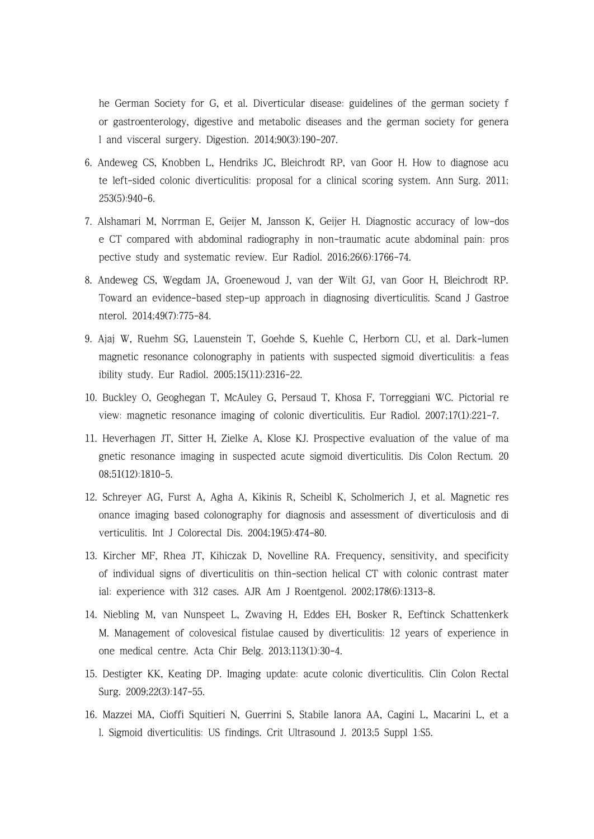he German Society for G, et al. Diverticular disease: guidelines of the german society f or gastroenterology, digestive and metabolic diseases and the german society for genera l and visceral surgery. Digestion. 2014;90(3):190-207.

- 6. Andeweg CS, Knobben L, Hendriks JC, Bleichrodt RP, van Goor H. How to diagnose acu te left-sided colonic diverticulitis: proposal for a clinical scoring system. Ann Surg. 2011; 253(5):940-6.
- 7. Alshamari M, Norrman E, Geijer M, Jansson K, Geijer H. Diagnostic accuracy of low-dos e CT compared with abdominal radiography in non-traumatic acute abdominal pain: pros pective study and systematic review. Eur Radiol. 2016;26(6):1766-74.
- 8. Andeweg CS, Wegdam JA, Groenewoud J, van der Wilt GJ, van Goor H, Bleichrodt RP. Toward an evidence-based step-up approach in diagnosing diverticulitis. Scand J Gastroe nterol. 2014;49(7):775-84.
- 9. Ajaj W, Ruehm SG, Lauenstein T, Goehde S, Kuehle C, Herborn CU, et al. Dark-lumen magnetic resonance colonography in patients with suspected sigmoid diverticulitis: a feas ibility study. Eur Radiol. 2005;15(11):2316-22.
- 10. Buckley O, Geoghegan T, McAuley G, Persaud T, Khosa F, Torreggiani WC. Pictorial re view: magnetic resonance imaging of colonic diverticulitis. Eur Radiol. 2007;17(1):221-7.
- 11. Heverhagen JT, Sitter H, Zielke A, Klose KJ. Prospective evaluation of the value of ma gnetic resonance imaging in suspected acute sigmoid diverticulitis. Dis Colon Rectum. 20 08;51(12):1810-5.
- 12. Schreyer AG, Furst A, Agha A, Kikinis R, Scheibl K, Scholmerich J, et al. Magnetic res onance imaging based colonography for diagnosis and assessment of diverticulosis and di verticulitis. Int J Colorectal Dis. 2004;19(5):474-80.
- 13. Kircher MF, Rhea JT, Kihiczak D, Novelline RA. Frequency, sensitivity, and specificity of individual signs of diverticulitis on thin-section helical CT with colonic contrast mater ial: experience with 312 cases. AJR Am J Roentgenol. 2002;178(6):1313-8.
- 14. Niebling M, van Nunspeet L, Zwaving H, Eddes EH, Bosker R, Eeftinck Schattenkerk M. Management of colovesical fistulae caused by diverticulitis: 12 years of experience in one medical centre. Acta Chir Belg. 2013;113(1):30-4.
- 15. Destigter KK, Keating DP. Imaging update: acute colonic diverticulitis. Clin Colon Rectal Surg. 2009;22(3):147-55.
- 16. Mazzei MA, Cioffi Squitieri N, Guerrini S, Stabile Ianora AA, Cagini L, Macarini L, et a l. Sigmoid diverticulitis: US findings. Crit Ultrasound J. 2013;5 Suppl 1:S5.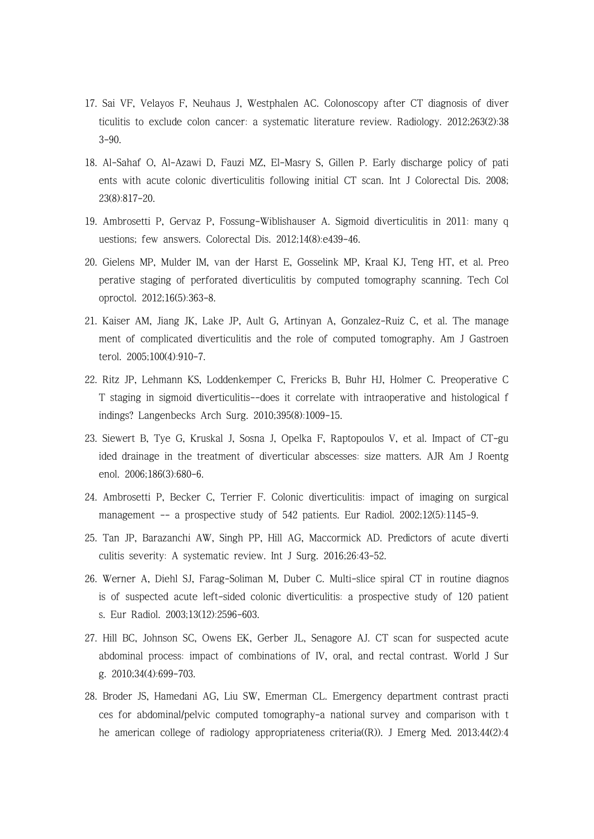- 17. Sai VF, Velayos F, Neuhaus J, Westphalen AC. Colonoscopy after CT diagnosis of diver ticulitis to exclude colon cancer: a systematic literature review. Radiology. 2012;263(2):38 3-90.
- 18. Al-Sahaf O, Al-Azawi D, Fauzi MZ, El-Masry S, Gillen P. Early discharge policy of pati ents with acute colonic diverticulitis following initial CT scan. Int J Colorectal Dis. 2008; 23(8):817-20.
- 19. Ambrosetti P, Gervaz P, Fossung-Wiblishauser A. Sigmoid diverticulitis in 2011: many q uestions; few answers. Colorectal Dis. 2012;14(8):e439-46.
- 20. Gielens MP, Mulder IM, van der Harst E, Gosselink MP, Kraal KJ, Teng HT, et al. Preo perative staging of perforated diverticulitis by computed tomography scanning. Tech Col oproctol. 2012;16(5):363-8.
- 21. Kaiser AM, Jiang JK, Lake JP, Ault G, Artinyan A, Gonzalez-Ruiz C, et al. The manage ment of complicated diverticulitis and the role of computed tomography. Am J Gastroen terol. 2005;100(4):910-7.
- 22. Ritz JP, Lehmann KS, Loddenkemper C, Frericks B, Buhr HJ, Holmer C. Preoperative C T staging in sigmoid diverticulitis--does it correlate with intraoperative and histological f indings? Langenbecks Arch Surg. 2010;395(8):1009-15.
- 23. Siewert B, Tye G, Kruskal J, Sosna J, Opelka F, Raptopoulos V, et al. Impact of CT-gu ided drainage in the treatment of diverticular abscesses: size matters. AJR Am J Roentg enol. 2006;186(3):680-6.
- 24. Ambrosetti P, Becker C, Terrier F. Colonic diverticulitis: impact of imaging on surgical management -- a prospective study of 542 patients. Eur Radiol. 2002;12(5):1145-9.
- 25. Tan JP, Barazanchi AW, Singh PP, Hill AG, Maccormick AD. Predictors of acute diverti culitis severity: A systematic review. Int J Surg. 2016;26:43-52.
- 26. Werner A, Diehl SJ, Farag-Soliman M, Duber C. Multi-slice spiral CT in routine diagnos is of suspected acute left-sided colonic diverticulitis: a prospective study of 120 patient s. Eur Radiol. 2003;13(12):2596-603.
- 27. Hill BC, Johnson SC, Owens EK, Gerber JL, Senagore AJ. CT scan for suspected acute abdominal process: impact of combinations of IV, oral, and rectal contrast. World J Sur g. 2010;34(4):699-703.
- 28. Broder JS, Hamedani AG, Liu SW, Emerman CL. Emergency department contrast practi ces for abdominal/pelvic computed tomography-a national survey and comparison with t he american college of radiology appropriateness criteria((R)). J Emerg Med. 2013;44(2):4